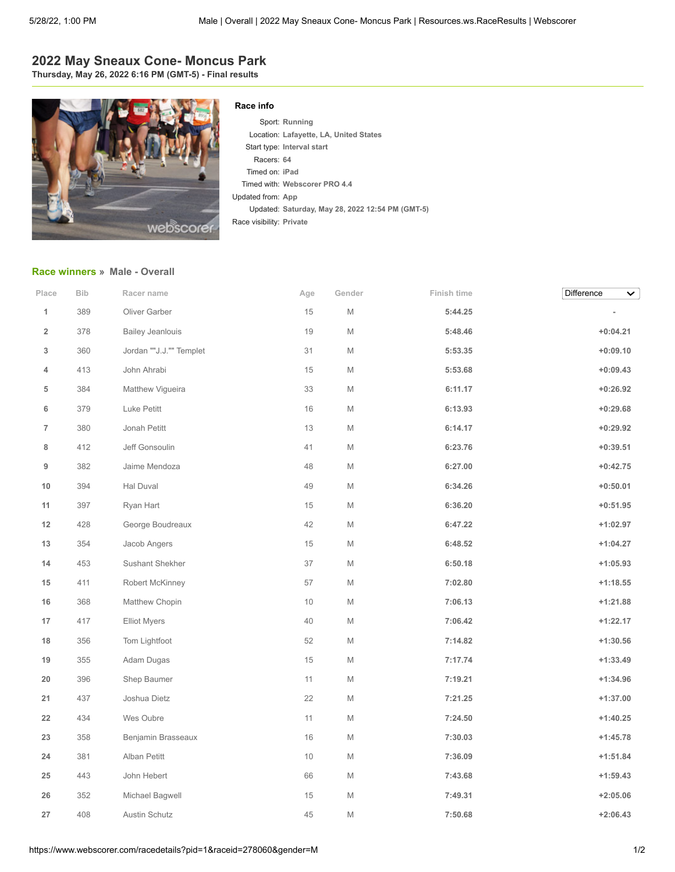## **2022 May Sneaux Cone- Moncus Park**

**Thursday, May 26, 2022 6:16 PM (GMT-5) - Final results**



## **Race info**

Sport: **Running** Location: **Lafayette, LA, United States** Start type: **Interval start** Racers: **64** Timed on: **iPad** Timed with: **Webscorer PRO 4.4** Updated from: **App** Updated: **Saturday, May 28, 2022 12:54 PM (GMT-5)** Race visibility: **Private**

## **[Race winners](https://www.webscorer.com/race?pid=1&raceid=278060) » Male - Overall**

| Place                   | Bib | Racer name              | Age    | Gender | Finish time | Difference<br>$\checkmark$ |
|-------------------------|-----|-------------------------|--------|--------|-------------|----------------------------|
| $\mathbf{1}$            | 389 | Oliver Garber           | 15     | M      | 5:44.25     |                            |
| $\overline{\mathbf{2}}$ | 378 | <b>Bailey Jeanlouis</b> | $19$   | M      | 5:48.46     | $+0:04.21$                 |
| 3                       | 360 | Jordan ""J.J."" Templet | 31     | M      | 5:53.35     | $+0:09.10$                 |
| 4                       | 413 | John Ahrabi             | 15     | M      | 5:53.68     | $+0:09.43$                 |
| 5                       | 384 | Matthew Vigueira        | 33     | M      | 6:11.17     | $+0:26.92$                 |
| 6                       | 379 | Luke Petitt             | 16     | M      | 6:13.93     | $+0:29.68$                 |
| $\overline{7}$          | 380 | Jonah Petitt            | 13     | M      | 6:14.17     | $+0:29.92$                 |
| 8                       | 412 | Jeff Gonsoulin          | 41     | M      | 6:23.76     | $+0:39.51$                 |
| 9                       | 382 | Jaime Mendoza           | 48     | M      | 6:27.00     | $+0:42.75$                 |
| 10                      | 394 | Hal Duval               | 49     | M      | 6:34.26     | $+0:50.01$                 |
| 11                      | 397 | Ryan Hart               | 15     | M      | 6:36.20     | $+0:51.95$                 |
| 12                      | 428 | George Boudreaux        | 42     | М      | 6:47.22     | $+1:02.97$                 |
| 13                      | 354 | Jacob Angers            | $15\,$ | M      | 6:48.52     | $+1:04.27$                 |
| 14                      | 453 | Sushant Shekher         | 37     | M      | 6:50.18     | $+1:05.93$                 |
| 15                      | 411 | Robert McKinney         | 57     | M      | 7:02.80     | $+1:18.55$                 |
| 16                      | 368 | Matthew Chopin          | $10$   | M      | 7:06.13     | $+1:21.88$                 |
| 17                      | 417 | <b>Elliot Myers</b>     | 40     | M      | 7:06.42     | $+1:22.17$                 |
| $18\,$                  | 356 | Tom Lightfoot           | 52     | M      | 7:14.82     | $+1:30.56$                 |
| 19                      | 355 | Adam Dugas              | $15\,$ | M      | 7:17.74     | $+1:33.49$                 |
| 20                      | 396 | Shep Baumer             | 11     | M      | 7:19.21     | $+1:34.96$                 |
| 21                      | 437 | Joshua Dietz            | 22     | M      | 7:21.25     | $+1:37.00$                 |
| 22                      | 434 | Wes Oubre               | 11     | M      | 7:24.50     | $+1:40.25$                 |
| 23                      | 358 | Benjamin Brasseaux      | 16     | M      | 7:30.03     | $+1:45.78$                 |
| 24                      | 381 | Alban Petitt            | 10     | M      | 7:36.09     | $+1:51.84$                 |
| 25                      | 443 | John Hebert             | 66     | M      | 7:43.68     | $+1:59.43$                 |
| 26                      | 352 | Michael Bagwell         | 15     | M      | 7:49.31     | $+2:05.06$                 |
| 27                      | 408 | Austin Schutz           | 45     | М      | 7:50.68     | $+2:06.43$                 |